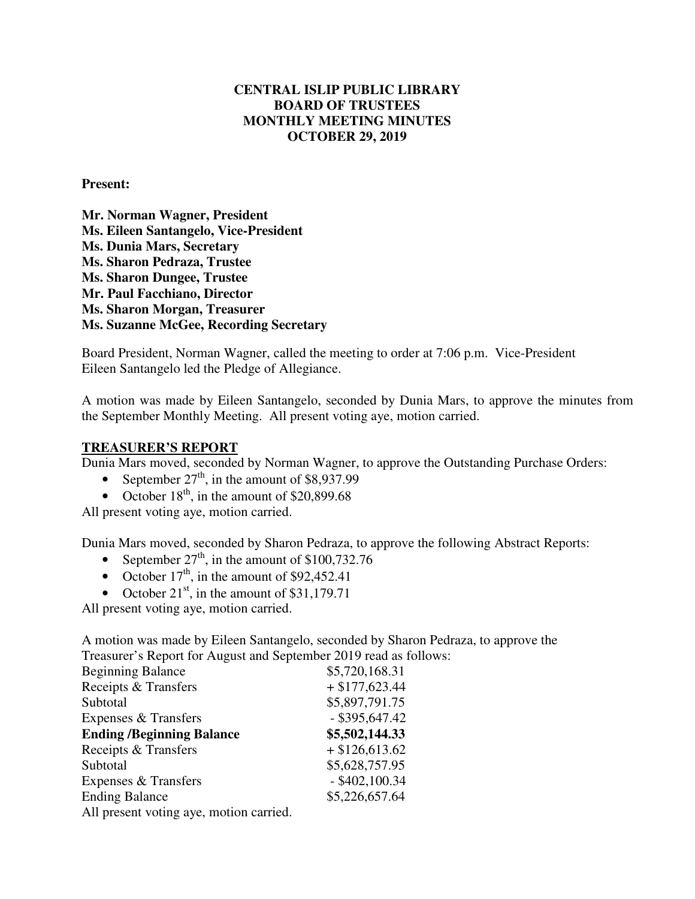## **CENTRAL ISLIP PUBLIC LIBRARY BOARD OF TRUSTEES MONTHLY MEETING MINUTES OCTOBER 29, 2019**

**Present:** 

**Mr. Norman Wagner, President Ms. Eileen Santangelo, Vice-President Ms. Dunia Mars, Secretary Ms. Sharon Pedraza, Trustee Ms. Sharon Dungee, Trustee Mr. Paul Facchiano, Director Ms. Sharon Morgan, Treasurer Ms. Suzanne McGee, Recording Secretary** 

Board President, Norman Wagner, called the meeting to order at 7:06 p.m. Vice-President Eileen Santangelo led the Pledge of Allegiance.

A motion was made by Eileen Santangelo, seconded by Dunia Mars, to approve the minutes from the September Monthly Meeting. All present voting aye, motion carried.

#### **TREASURER'S REPORT**

Dunia Mars moved, seconded by Norman Wagner, to approve the Outstanding Purchase Orders:

- September  $27<sup>th</sup>$ , in the amount of \$8,937.99
- October  $18^{th}$ , in the amount of \$20,899.68

All present voting aye, motion carried.

Dunia Mars moved, seconded by Sharon Pedraza, to approve the following Abstract Reports:

- September  $27<sup>th</sup>$ , in the amount of \$100,732.76
- October  $17<sup>th</sup>$ , in the amount of \$92,452.41
- October  $21<sup>st</sup>$ , in the amount of \$31,179.71

All present voting aye, motion carried.

A motion was made by Eileen Santangelo, seconded by Sharon Pedraza, to approve the Treasurer's Report for August and September 2019 read as follows:

| <b>Beginning Balance</b>                | \$5,720,168.31   |
|-----------------------------------------|------------------|
| Receipts & Transfers                    | $+ $177,623.44$  |
| Subtotal                                | \$5,897,791.75   |
| Expenses & Transfers                    | $-$ \$395,647.42 |
| <b>Ending /Beginning Balance</b>        | \$5,502,144.33   |
| Receipts & Transfers                    | $+$ \$126,613.62 |
| Subtotal                                | \$5,628,757.95   |
| Expenses & Transfers                    | $-$ \$402,100.34 |
| <b>Ending Balance</b>                   | \$5,226,657.64   |
| All present voting aye, motion carried. |                  |